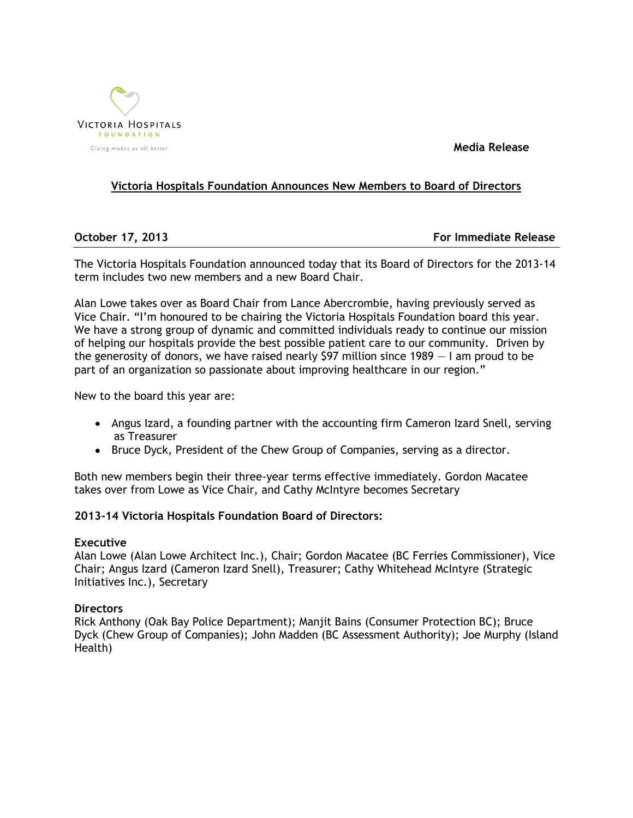

 **Media Release**

# **Victoria Hospitals Foundation Announces New Members to Board of Directors**

**October 17, 2013 For Immediate Release**

The Victoria Hospitals Foundation announced today that its Board of Directors for the 2013-14 term includes two new members and a new Board Chair.

Alan Lowe takes over as Board Chair from Lance Abercrombie, having previously served as Vice Chair. "I'm honoured to be chairing the Victoria Hospitals Foundation board this year. We have a strong group of dynamic and committed individuals ready to continue our mission of helping our hospitals provide the best possible patient care to our community. Driven by the generosity of donors, we have raised nearly \$97 million since 1989 — I am proud to be part of an organization so passionate about improving healthcare in our region."

New to the board this year are:

- Angus Izard, a founding partner with the accounting firm Cameron Izard Snell, serving as Treasurer
- Bruce Dyck, President of the Chew Group of Companies, serving as a director.

Both new members begin their three-year terms effective immediately. Gordon Macatee takes over from Lowe as Vice Chair, and Cathy McIntyre becomes Secretary

## **2013-14 Victoria Hospitals Foundation Board of Directors:**

## **Executive**

Alan Lowe (Alan Lowe Architect Inc.), Chair; Gordon Macatee (BC Ferries Commissioner), Vice Chair; Angus Izard (Cameron Izard Snell), Treasurer; Cathy Whitehead McIntyre (Strategic Initiatives Inc.), Secretary

## **Directors**

Rick Anthony (Oak Bay Police Department); Manjit Bains (Consumer Protection BC); Bruce Dyck (Chew Group of Companies); John Madden (BC Assessment Authority); Joe Murphy (Island Health)